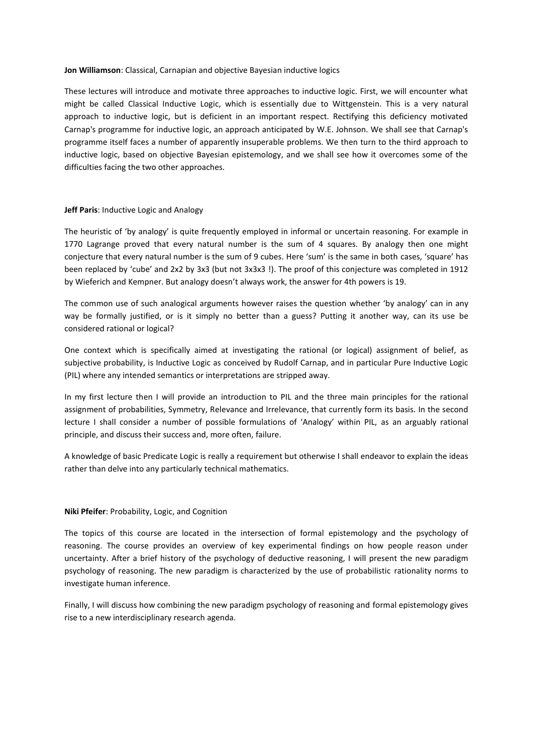# **Jon Williamson**: Classical, Carnapian and objective Bayesian inductive logics

These lectures will introduce and motivate three approaches to inductive logic. First, we will encounter what might be called Classical Inductive Logic, which is essentially due to Wittgenstein. This is a very natural approach to inductive logic, but is deficient in an important respect. Rectifying this deficiency motivated Carnap's programme for inductive logic, an approach anticipated by W.E. Johnson. We shall see that Carnap's programme itself faces a number of apparently insuperable problems. We then turn to the third approach to inductive logic, based on objective Bayesian epistemology, and we shall see how it overcomes some of the difficulties facing the two other approaches.

## **Jeff Paris**: Inductive Logic and Analogy

The heuristic of 'by analogy' is quite frequently employed in informal or uncertain reasoning. For example in 1770 Lagrange proved that every natural number is the sum of 4 squares. By analogy then one might conjecture that every natural number is the sum of 9 cubes. Here 'sum' is the same in both cases, 'square' has been replaced by 'cube' and 2x2 by 3x3 (but not 3x3x3 !). The proof of this conjecture was completed in 1912 by Wieferich and Kempner. But analogy doesn't always work, the answer for 4th powers is 19.

The common use of such analogical arguments however raises the question whether 'by analogy' can in any way be formally justified, or is it simply no better than a guess? Putting it another way, can its use be considered rational or logical?

One context which is specifically aimed at investigating the rational (or logical) assignment of belief, as subjective probability, is Inductive Logic as conceived by Rudolf Carnap, and in particular Pure Inductive Logic (PIL) where any intended semantics or interpretations are stripped away.

In my first lecture then I will provide an introduction to PIL and the three main principles for the rational assignment of probabilities, Symmetry, Relevance and Irrelevance, that currently form its basis. In the second lecture I shall consider a number of possible formulations of 'Analogy' within PIL, as an arguably rational principle, and discuss their success and, more often, failure.

A knowledge of basic Predicate Logic is really a requirement but otherwise I shall endeavor to explain the ideas rather than delve into any particularly technical mathematics.

## **Niki Pfeifer**: Probability, Logic, and Cognition

The topics of this course are located in the intersection of formal epistemology and the psychology of reasoning. The course provides an overview of key experimental findings on how people reason under uncertainty. After a brief history of the psychology of deductive reasoning, I will present the new paradigm psychology of reasoning. The new paradigm is characterized by the use of probabilistic rationality norms to investigate human inference.

Finally, I will discuss how combining the new paradigm psychology of reasoning and formal epistemology gives rise to a new interdisciplinary research agenda.